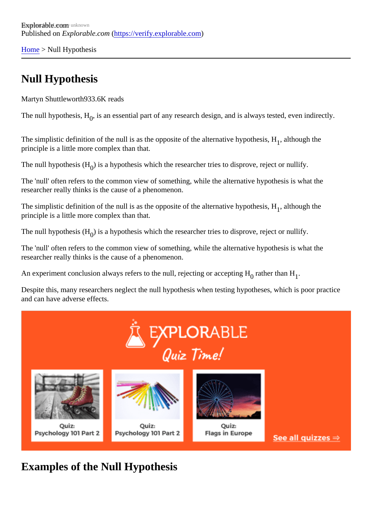[Home](https://verify.explorable.com/) > Null Hypothesis

## Null Hypothesis

Martyn Shuttlewort<sup>833.6K</sup> reads

The null hypothesis,  $\bm{\beta}$  is an essential part of any research design, and is always tested, even indirectly.

The simplistic definition of the null is as the opposite of the alternative hypothesialthough the principle is a little more complex than that.

The null hypothesis ( $\beta$  is a hypothesis which the researcher tries to disprove, reject or nullify.

The 'null' often refers to the common view of something, while the alternative hypothesis is what the researcher really thinks is the cause of a phenomenon.

The simplistic definition of the null is as the opposite of the alternative hypothesialthough the principle is a little more complex than that.

The null hypothesis ( $\beta$  is a hypothesis which the researcher tries to disprove, reject or nullify.

The 'null' often refers to the common view of something, while the alternative hypothesis is what the researcher really thinks is the cause of a phenomenon.

An experiment conclusion always refers to the null, rejecting or accepti**nathe**r than <del>կ</del>l

Despite this, many researchers neglect the null hypothesis when testing hypotheses, which is poor practic and can have adverse effects.

Examples of the Null Hypothesis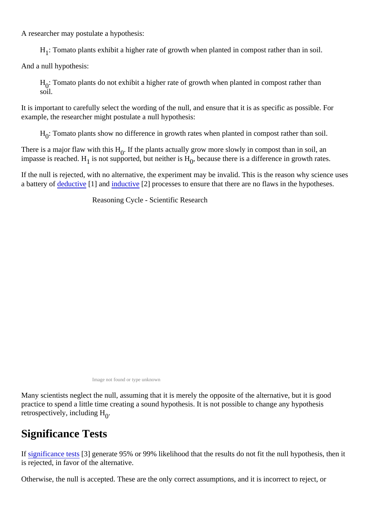A researcher may postulate a hypothesis:

 $H_1$ : Tomato plants exhibit a higher rate of growth when planted in compost rather than in soil.

And a null hypothesis:

 $H_{0}$ : Tomato plants do not exhibit a higher rate of growth when planted in compost rather than soil.

It is important to carefully select the wording of the null, and ensure that it is as specific as possible. For example, the researcher might postulate a null hypothesis:

 ${\sf H}_0$ : Tomato plants show no difference in growth rates when planted in compost rather than soil.

There is a major flaw with this HIf the plants actually grow more slowly in compost than in soil, an impasse is reached<sub>1</sub>l<del>il</del>s not supported, but neither i<sub>ð</sub>,l<del>l</del>because there is a difference in growth rates.

If the null is rejected, with no alternative, the experiment may be invalid. This is the reason why science us a battery o[f deductive](https://verify.explorable.com/deductive-reasoning) [1] and [inductive](https://verify.explorable.com/inductive-reasoning) [2] processes to ensure that there are no flaws in the hypotheses.

Reasoning Cycle - Scientific Research

Image not found or type unknown

Many scientists neglect the null, assuming that it is merely the opposite of the alternative, but it is good practice to spend a little time creating a sound hypothesis. It is not possible to change any hypothesis retrospectively, including H

## Significance Tests

If [significance tes](https://verify.explorable.com/significance-test)t<sup>[3]</sup> generate 95% or 99% likelihood that the results do not fit the null hypothesis, then it is rejected, in favor of the alternative.

Otherwise, the null is accepted. These are the only correct assumptions, and it is incorrect to reject, or